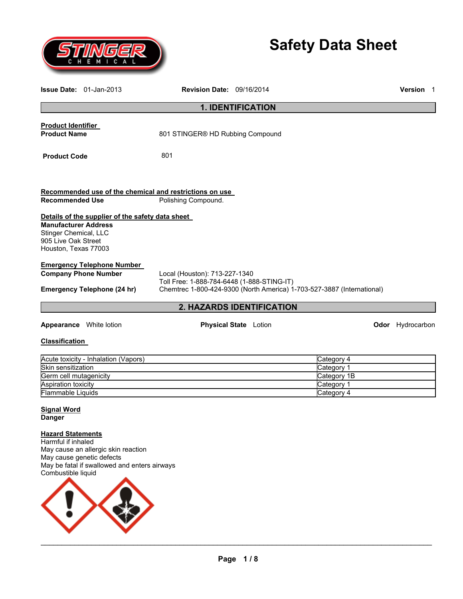

# **Safety Data Sheet**

|                                                                                                     | <b>Issue Date:</b> $01$ -Jan-2013                                                                                                                                                                                                                               | <b>Revision Date: 09/16/2014</b>                                               |                              |                                                                     | <b>Version</b> 1 |  |
|-----------------------------------------------------------------------------------------------------|-----------------------------------------------------------------------------------------------------------------------------------------------------------------------------------------------------------------------------------------------------------------|--------------------------------------------------------------------------------|------------------------------|---------------------------------------------------------------------|------------------|--|
|                                                                                                     |                                                                                                                                                                                                                                                                 |                                                                                | <b>1. IDENTIFICATION</b>     |                                                                     |                  |  |
| <b>Product Identifier</b><br><b>Product Name</b>                                                    |                                                                                                                                                                                                                                                                 | 801 STINGER® HD Rubbing Compound                                               |                              |                                                                     |                  |  |
| 801<br><b>Product Code</b>                                                                          |                                                                                                                                                                                                                                                                 |                                                                                |                              |                                                                     |                  |  |
| <b>Recommended Use</b>                                                                              |                                                                                                                                                                                                                                                                 | Recommended use of the chemical and restrictions on use<br>Polishing Compound. |                              |                                                                     |                  |  |
| <b>Manufacturer Address</b><br>Stinger Chemical, LLC<br>905 Live Oak Street<br>Houston, Texas 77003 | Details of the supplier of the safety data sheet                                                                                                                                                                                                                |                                                                                |                              |                                                                     |                  |  |
|                                                                                                     | <b>Emergency Telephone Number</b><br><b>Company Phone Number</b><br>Local (Houston): 713-227-1340<br>Toll Free: 1-888-784-6448 (1-888-STING-IT)<br>Chemtrec 1-800-424-9300 (North America) 1-703-527-3887 (International)<br><b>Emergency Telephone (24 hr)</b> |                                                                                |                              |                                                                     |                  |  |
|                                                                                                     |                                                                                                                                                                                                                                                                 |                                                                                | 2. HAZARDS IDENTIFICATION    |                                                                     |                  |  |
|                                                                                                     | <b>Appearance</b> White lotion                                                                                                                                                                                                                                  |                                                                                | <b>Physical State</b> Lotion |                                                                     | Odor Hydrocarbon |  |
| <b>Classification</b>                                                                               |                                                                                                                                                                                                                                                                 |                                                                                |                              |                                                                     |                  |  |
| Skin sensitization<br>Germ cell mutagenicity<br>Aspiration toxicity<br>Flammable Liquids            | Acute toxicity - Inhalation (Vapors)                                                                                                                                                                                                                            |                                                                                |                              | Category 4<br>Category 1<br>Category 1B<br>Category 1<br>Category 4 |                  |  |
| Signal Word<br><b>Danger</b>                                                                        |                                                                                                                                                                                                                                                                 |                                                                                |                              |                                                                     |                  |  |
| <b>Hazard Statements</b><br>Harmful if inhaled<br>Combustible liquid                                | May cause an allergic skin reaction<br>May cause genetic defects<br>May be fatal if swallowed and enters airways                                                                                                                                                |                                                                                |                              |                                                                     |                  |  |

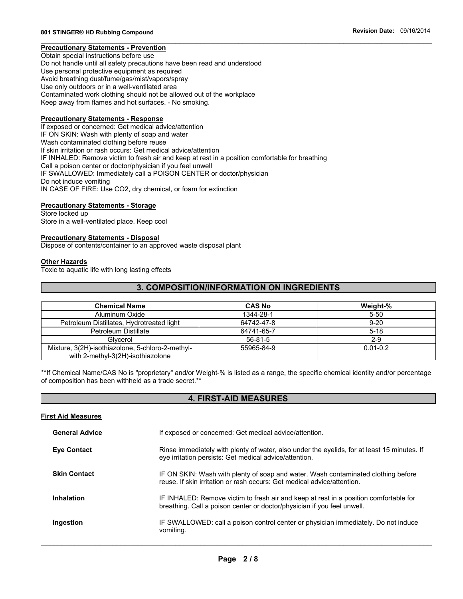## **Precautionary Statements - Prevention**

Obtain special instructions before use Do not handle until all safety precautions have been read and understood Use personal protective equipment as required Avoid breathing dust/fume/gas/mist/vapors/spray Use only outdoors or in a well-ventilated area Contaminated work clothing should not be allowed out of the workplace Keep away from flames and hot surfaces. - No smoking.

#### **Precautionary Statements - Response**

If exposed or concerned: Get medical advice/attention IF ON SKIN: Wash with plenty of soap and water Wash contaminated clothing before reuse If skin irritation or rash occurs: Get medical advice/attention IF INHALED: Remove victim to fresh air and keep at rest in a position comfortable for breathing Call a poison center or doctor/physician if you feel unwell IF SWALLOWED: Immediately call a POISON CENTER or doctor/physician Do not induce vomiting IN CASE OF FIRE: Use CO2, dry chemical, or foam for extinction

#### **Precautionary Statements - Storage**

Store locked up Store in a well-ventilated place. Keep cool

#### **Precautionary Statements - Disposal**

Dispose of contents/container to an approved waste disposal plant

## **Other Hazards**

Toxic to aquatic life with long lasting effects

## **3. COMPOSITION/INFORMATION ON INGREDIENTS**

| <b>Chemical Name</b>                                                                  | <b>CAS No</b> | Weight-%     |
|---------------------------------------------------------------------------------------|---------------|--------------|
| Aluminum Oxide                                                                        | 1344-28-1     | $5 - 50$     |
| Petroleum Distillates, Hydrotreated light                                             | 64742-47-8    | $9 - 20$     |
| Petroleum Distillate                                                                  | 64741-65-7    | $5 - 18$     |
| Glycerol                                                                              | $56 - 81 - 5$ | $2-9$        |
| Mixture, 3(2H)-isothiazolone, 5-chloro-2-methyl-<br>with 2-methyl-3(2H)-isothiazolone | 55965-84-9    | $0.01 - 0.2$ |

\*\*If Chemical Name/CAS No is "proprietary" and/or Weight-% is listed as a range, the specific chemical identity and/or percentage of composition has been withheld as a trade secret.\*\*

### **4. FIRST-AID MEASURES**

#### **First Aid Measures**

| <b>General Advice</b> | If exposed or concerned: Get medical advice/attention.                                                                                                           |  |  |
|-----------------------|------------------------------------------------------------------------------------------------------------------------------------------------------------------|--|--|
| <b>Eye Contact</b>    | Rinse immediately with plenty of water, also under the eyelids, for at least 15 minutes. If<br>eye irritation persists: Get medical advice/attention.            |  |  |
| <b>Skin Contact</b>   | IF ON SKIN: Wash with plenty of soap and water. Wash contaminated clothing before<br>reuse. If skin irritation or rash occurs: Get medical advice/attention.     |  |  |
| Inhalation            | IF INHALED: Remove victim to fresh air and keep at rest in a position comfortable for<br>breathing. Call a poison center or doctor/physician if you feel unwell. |  |  |
| Ingestion             | IF SWALLOWED: call a poison control center or physician immediately. Do not induce<br>vomiting.                                                                  |  |  |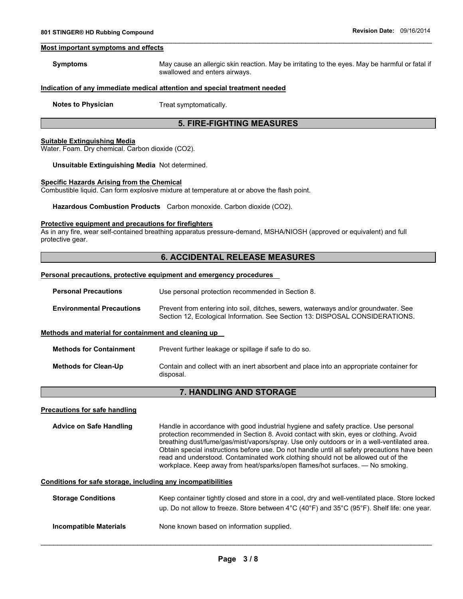#### **Most important symptoms and effects**

| <b>Symptoms</b> | May cause an allergic skin reaction. May be irritating to the eyes. May be harmful or fatal if |
|-----------------|------------------------------------------------------------------------------------------------|
|                 | swallowed and enters airways.                                                                  |

## **Indication of any immediate medical attention and special treatment needed**

**Notes to Physician**  Treat symptomatically.

## **5. FIRE-FIGHTING MEASURES**

#### **Suitable Extinguishing Media**

Water. Foam. Dry chemical. Carbon dioxide (CO2).

#### **Unsuitable Extinguishing Media** Not determined.

#### **Specific Hazards Arising from the Chemical**

Combustible liquid. Can form explosive mixture at temperature at or above the flash point.

**Hazardous Combustion Products** Carbon monoxide. Carbon dioxide (CO2).

#### **Protective equipment and precautions for firefighters**

As in any fire, wear self-contained breathing apparatus pressure-demand, MSHA/NIOSH (approved or equivalent) and full protective gear.

## **6. ACCIDENTAL RELEASE MEASURES**

#### **Personal precautions, protective equipment and emergency procedures**

| <b>Personal Precautions</b>                          | Use personal protection recommended in Section 8.                                                                                                                   |  |  |  |
|------------------------------------------------------|---------------------------------------------------------------------------------------------------------------------------------------------------------------------|--|--|--|
| <b>Environmental Precautions</b>                     | Prevent from entering into soil, ditches, sewers, waterways and/or groundwater. See<br>Section 12, Ecological Information. See Section 13: DISPOSAL CONSIDERATIONS. |  |  |  |
| Methods and material for containment and cleaning up |                                                                                                                                                                     |  |  |  |
| <b>Methods for Containment</b>                       | Prevent further leakage or spillage if safe to do so.                                                                                                               |  |  |  |
| <b>Methods for Clean-Up</b>                          | Contain and collect with an inert absorbent and place into an appropriate container for<br>disposal.                                                                |  |  |  |
| <b>7. HANDLING AND STORAGE</b>                       |                                                                                                                                                                     |  |  |  |
| Precautions for safe handling                        |                                                                                                                                                                     |  |  |  |

**Advice on Safe Handling** Handle in accordance with good industrial hygiene and safety practice. Use personal protection recommended in Section 8. Avoid contact with skin, eyes or clothing. Avoid breathing dust/fume/gas/mist/vapors/spray. Use only outdoors or in a well-ventilated area. Obtain special instructions before use. Do not handle until all safety precautions have been read and understood. Contaminated work clothing should not be allowed out of the workplace. Keep away from heat/sparks/open flames/hot surfaces. — No smoking.

#### **Conditions for safe storage, including any incompatibilities**

| <b>Storage Conditions</b> | Keep container tightly closed and store in a cool, dry and well-ventilated place. Store locked<br>up. Do not allow to freeze. Store between 4°C (40°F) and 35°C (95°F). Shelf life: one year. |  |  |
|---------------------------|-----------------------------------------------------------------------------------------------------------------------------------------------------------------------------------------------|--|--|
| Incompatible Materials    | None known based on information supplied.                                                                                                                                                     |  |  |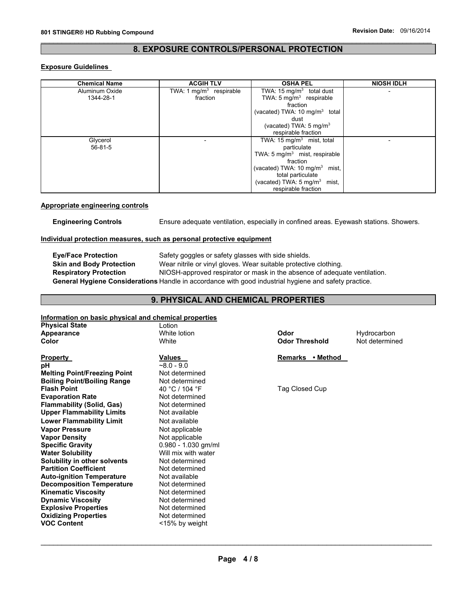## **8. EXPOSURE CONTROLS/PERSONAL PROTECTION**

## **Exposure Guidelines**

| <b>Chemical Name</b> | <b>ACGIH TLV</b>          | <b>OSHA PEL</b>                           | <b>NIOSH IDLH</b> |
|----------------------|---------------------------|-------------------------------------------|-------------------|
| Aluminum Oxide       | TWA: 1 $mg/m3$ respirable | TWA: 15 mg/m <sup>3</sup> total dust      |                   |
| 1344-28-1            | fraction                  | TWA: $5 \text{ mg/m}^3$ respirable        |                   |
|                      |                           | fraction                                  |                   |
|                      |                           | (vacated) TWA: 10 mg/m <sup>3</sup> total |                   |
|                      |                           | dust                                      |                   |
|                      |                           | (vacated) TWA: $5 \text{ mg/m}^3$         |                   |
|                      |                           | respirable fraction                       |                   |
| Glycerol             |                           | TWA: 15 mg/ $\overline{m^3}$ mist, total  |                   |
| $56 - 81 - 5$        |                           | particulate                               |                   |
|                      |                           | TWA: 5 $mg/m3$ mist, respirable           |                   |
|                      |                           | fraction                                  |                   |
|                      |                           | (vacated) TWA: 10 mg/m <sup>3</sup> mist, |                   |
|                      |                           | total particulate                         |                   |
|                      |                           | (vacated) TWA: $5 \text{ mg/m}^3$ mist,   |                   |
|                      |                           | respirable fraction                       |                   |

#### **Appropriate engineering controls**

**Engineering Controls** Ensure adequate ventilation, especially in confined areas. Eyewash stations. Showers.

#### **Individual protection measures, such as personal protective equipment**

**Eye/Face Protection** Safety goggles or safety glasses with side shields. **Skin and Body Protection** Wear nitrile or vinyl gloves. Wear suitable protective clothing. **Respiratory Protection** NIOSH-approved respirator or mask in the absence of adequate ventilation. **General Hygiene Considerations** Handle in accordance with good industrial hygiene and safety practice.

# **9. PHYSICAL AND CHEMICAL PROPERTIES**

## **Information on basic physical and chemical properties**

| <b>Physical State</b>               | Lotion                |                            |                |
|-------------------------------------|-----------------------|----------------------------|----------------|
| Appearance                          | White lotion          | Odor                       | Hydrocarbon    |
| Color                               | White                 | <b>Odor Threshold</b>      | Not determined |
| Property                            | Values                | • Method<br><b>Remarks</b> |                |
| рH                                  | $~8.0 - 9.0$          |                            |                |
| <b>Melting Point/Freezing Point</b> | Not determined        |                            |                |
| <b>Boiling Point/Boiling Range</b>  | Not determined        |                            |                |
| <b>Flash Point</b>                  | 40 °C / 104 °F        | Tag Closed Cup             |                |
| <b>Evaporation Rate</b>             | Not determined        |                            |                |
| <b>Flammability (Solid, Gas)</b>    | Not determined        |                            |                |
| <b>Upper Flammability Limits</b>    | Not available         |                            |                |
| <b>Lower Flammability Limit</b>     | Not available         |                            |                |
| <b>Vapor Pressure</b>               | Not applicable        |                            |                |
| <b>Vapor Density</b>                | Not applicable        |                            |                |
| <b>Specific Gravity</b>             | $0.980 - 1.030$ gm/ml |                            |                |
| <b>Water Solubility</b>             | Will mix with water   |                            |                |
| Solubility in other solvents        | Not determined        |                            |                |
| <b>Partition Coefficient</b>        | Not determined        |                            |                |
| <b>Auto-ignition Temperature</b>    | Not available         |                            |                |
| <b>Decomposition Temperature</b>    | Not determined        |                            |                |
| <b>Kinematic Viscosity</b>          | Not determined        |                            |                |
| <b>Dynamic Viscosity</b>            | Not determined        |                            |                |
| <b>Explosive Properties</b>         | Not determined        |                            |                |
| <b>Oxidizing Properties</b>         | Not determined        |                            |                |
| <b>VOC Content</b>                  | <15% by weight        |                            |                |
|                                     |                       |                            |                |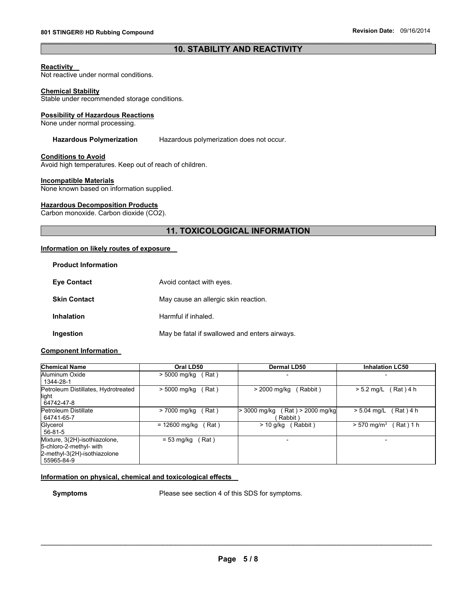## **10. STABILITY AND REACTIVITY**

#### **Reactivity**

Not reactive under normal conditions.

#### **Chemical Stability**

Stable under recommended storage conditions.

#### **Possibility of Hazardous Reactions**

None under normal processing.

#### **Hazardous Polymerization** Hazardous polymerization does not occur.

## **Conditions to Avoid**

Avoid high temperatures. Keep out of reach of children.

#### **Incompatible Materials**

None known based on information supplied.

#### **Hazardous Decomposition Products**

Carbon monoxide. Carbon dioxide (CO2).

# **11. TOXICOLOGICAL INFORMATION**

## **Information on likely routes of exposure**

| <b>Product Information</b> |                                               |
|----------------------------|-----------------------------------------------|
| <b>Eve Contact</b>         | Avoid contact with eyes.                      |
| <b>Skin Contact</b>        | May cause an allergic skin reaction.          |
| <b>Inhalation</b>          | Harmful if inhaled.                           |
| Ingestion                  | May be fatal if swallowed and enters airways. |

## **Component Information**

**Product Information** 

| <b>Chemical Name</b>                                                                                   | Oral LD50                | Dermal LD50                                 | <b>Inhalation LC50</b>                 |  |
|--------------------------------------------------------------------------------------------------------|--------------------------|---------------------------------------------|----------------------------------------|--|
| Aluminum Oxide<br>1344-28-1                                                                            | > 5000 mg/kg<br>Rat)     |                                             |                                        |  |
| Petroleum Distillates, Hydrotreated<br>light<br>64742-47-8                                             | Rat)<br>> 5000 mg/kg     | (Rabbit)<br>> 2000 mg/kg                    | Rat ) 4 h<br>$> 5.2$ mg/L              |  |
| Petroleum Distillate<br>64741-65-7                                                                     | Rat)<br>> 7000 mg/kg     | (Rat) > 2000 mg/kg<br>3000 mg/kg<br>Rabbit) | (Rat)4 h<br>$> 5.04$ mg/L              |  |
| Glycerol<br>$56 - 81 - 5$                                                                              | $= 12600$ mg/kg<br>(Rat) | (Rabbit)<br>> 10 a/ka                       | $> 570$ mg/m <sup>3</sup><br>Rat ) 1 h |  |
| Mixture, 3(2H)-isothiazolone,<br>5-chloro-2-methyl- with<br>2-methyl-3(2H)-isothiazolone<br>55965-84-9 | Rat)<br>$= 53$ mg/kg     |                                             |                                        |  |

#### **Information on physical, chemical and toxicological effects**

**Symptoms** Please see section 4 of this SDS for symptoms.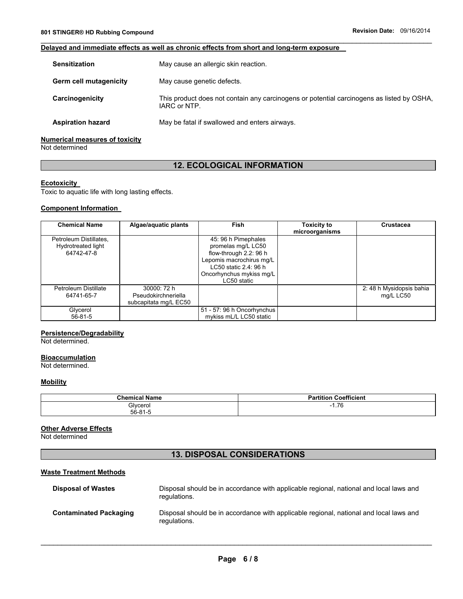## **Delayed and immediate effects as well as chronic effects from short and long-term exposure**

| <b>Sensitization</b>          | May cause an allergic skin reaction.                                                                      |  |
|-------------------------------|-----------------------------------------------------------------------------------------------------------|--|
| <b>Germ cell mutagenicity</b> | May cause genetic defects.                                                                                |  |
| Carcinogenicity               | This product does not contain any carcinogens or potential carcinogens as listed by OSHA,<br>IARC or NTP. |  |
| <b>Aspiration hazard</b>      | May be fatal if swallowed and enters airways.                                                             |  |
|                               |                                                                                                           |  |

## **Numerical measures of toxicity**

Not determined

# **12. ECOLOGICAL INFORMATION**

## **Ecotoxicity**

Toxic to aquatic life with long lasting effects.

## **Component Information**

| <b>Chemical Name</b>                                       | Algae/aquatic plants                                        | <b>Fish</b>                                                                                                                                                         | <b>Toxicity to</b><br>microorganisms | Crustacea                             |
|------------------------------------------------------------|-------------------------------------------------------------|---------------------------------------------------------------------------------------------------------------------------------------------------------------------|--------------------------------------|---------------------------------------|
| Petroleum Distillates,<br>Hydrotreated light<br>64742-47-8 |                                                             | 45: 96 h Pimephales<br>promelas mg/L LC50<br>flow-through 2.2: 96 h<br>Lepomis macrochirus mg/L<br>LC50 static 2.4: 96 h<br>Oncorhynchus mykiss mg/L<br>LC50 static |                                      |                                       |
| Petroleum Distillate<br>64741-65-7                         | 30000: 72 h<br>Pseudokirchneriella<br>subcapitata mg/L EC50 |                                                                                                                                                                     |                                      | 2: 48 h Mysidopsis bahia<br>mg/L LC50 |
| Glycerol<br>$56 - 81 - 5$                                  |                                                             | 51 - 57: 96 h Oncorhynchus<br>mykiss mL/L LC50 static                                                                                                               |                                      |                                       |

## **Persistence/Degradability**

Not determined.

#### **Bioaccumulation**

Not determined.

#### **Mobility**

| <b>Chemical Name</b> | Coefficient<br><br>.titior |
|----------------------|----------------------------|
| Glycerol             | 1.76<br>- 1                |
| $56-81-7$            |                            |

## **Other Adverse Effects**

Not determined

# **13. DISPOSAL CONSIDERATIONS**

## **Waste Treatment Methods**

| <b>Disposal of Wastes</b>     | Disposal should be in accordance with applicable regional, national and local laws and<br>regulations. |
|-------------------------------|--------------------------------------------------------------------------------------------------------|
| <b>Contaminated Packaging</b> | Disposal should be in accordance with applicable regional, national and local laws and<br>regulations. |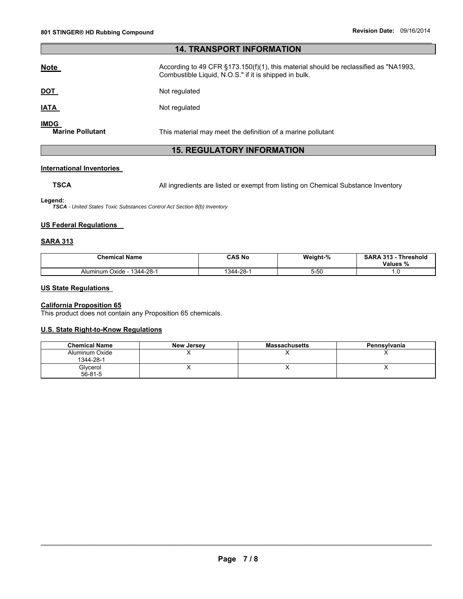# **14. TRANSPORT INFORMATION**

| <b>Note</b>                            | According to 49 CFR §173.150(f)(1), this material should be reclassified as "NA1993,<br>Combustible Liquid, N.O.S." if it is shipped in bulk. |
|----------------------------------------|-----------------------------------------------------------------------------------------------------------------------------------------------|
| <u>DOT</u>                             | Not regulated                                                                                                                                 |
| <u>IATA</u>                            | Not regulated                                                                                                                                 |
| <b>IMDG</b><br><b>Marine Pollutant</b> | This material may meet the definition of a marine pollutant                                                                                   |

## **15. REGULATORY INFORMATION**

## **International Inventories**

**TSCA** All ingredients are listed or exempt from listing on Chemical Substance Inventory

**Legend:** 

*TSCA - United States Toxic Substances Control Act Section 8(b) Inventory* 

### **US Federal Regulations**

## **SARA 313**

| <b>Chemical Name</b>           | CAS No          | Weight-%       | <b>SARA 313</b><br><b>Threshold</b><br>Values<br>% |
|--------------------------------|-----------------|----------------|----------------------------------------------------|
| 1344-28-1<br>Oxide<br>Aluminum | --28-′<br>1344- | $\sim$<br>つ-りし | .                                                  |

## **US State Regulations**

#### **California Proposition 65**

This product does not contain any Proposition 65 chemicals.

## **U.S. State Right-to-Know Regulations**

| <b>Chemical Name</b>        | <b>New Jersey</b> | <b>Massachusetts</b> | Pennsylvania |
|-----------------------------|-------------------|----------------------|--------------|
| Aluminum Oxide<br>1344-28-1 |                   |                      |              |
| Glycerol<br>$56 - 81 - 5$   |                   |                      |              |